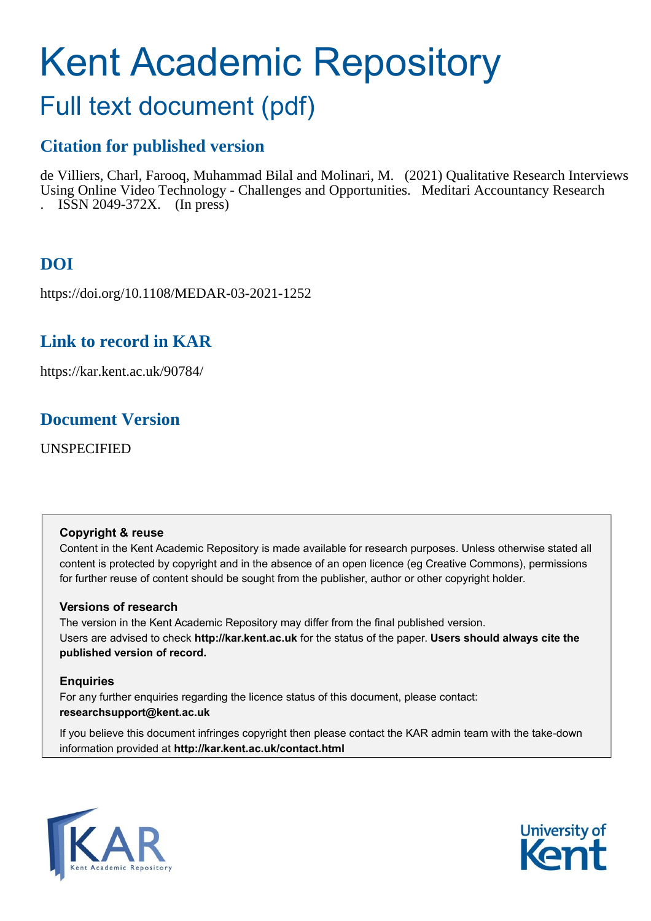# Kent Academic Repository

# Full text document (pdf)

## **Citation for published version**

de Villiers, Charl, Farooq, Muhammad Bilal and Molinari, M. (2021) Qualitative Research Interviews Using Online Video Technology - Challenges and Opportunities. Meditari Accountancy Research . ISSN 2049-372X. (In press)

# **DOI**

https://doi.org/10.1108/MEDAR-03-2021-1252

## **Link to record in KAR**

https://kar.kent.ac.uk/90784/

## **Document Version**

UNSPECIFIED

#### **Copyright & reuse**

Content in the Kent Academic Repository is made available for research purposes. Unless otherwise stated all content is protected by copyright and in the absence of an open licence (eg Creative Commons), permissions for further reuse of content should be sought from the publisher, author or other copyright holder.

#### **Versions of research**

The version in the Kent Academic Repository may differ from the final published version. Users are advised to check **http://kar.kent.ac.uk** for the status of the paper. **Users should always cite the published version of record.**

#### **Enquiries**

For any further enquiries regarding the licence status of this document, please contact: **researchsupport@kent.ac.uk**

If you believe this document infringes copyright then please contact the KAR admin team with the take-down information provided at **http://kar.kent.ac.uk/contact.html**



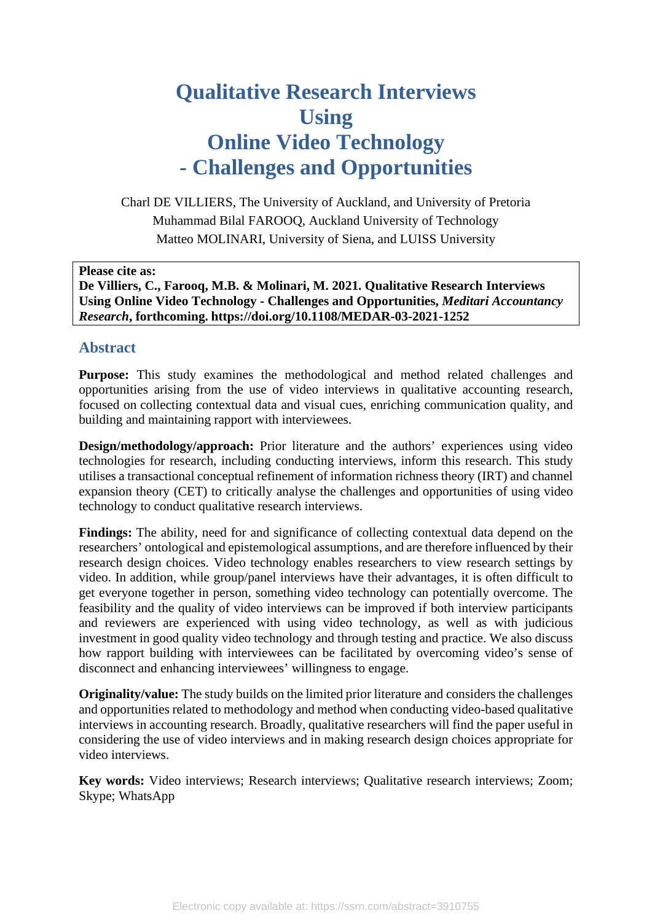# **Qualitative Research Interviews Using Online Video Technology - Challenges and Opportunities**

Charl DE VILLIERS, The University of Auckland, and University of Pretoria Muhammad Bilal FAROOQ, Auckland University of Technology Matteo MOLINARI, University of Siena, and LUISS University

**Please cite as:**

**De Villiers, C., Farooq, M.B. & Molinari, M. 2021. Qualitative Research Interviews Using Online Video Technology - Challenges and Opportunities,** *Meditari Accountancy Research***, forthcoming. https://doi.org/10.1108/MEDAR-03-2021-1252**

#### **Abstract**

**Purpose:** This study examines the methodological and method related challenges and opportunities arising from the use of video interviews in qualitative accounting research, focused on collecting contextual data and visual cues, enriching communication quality, and building and maintaining rapport with interviewees.

**Design/methodology/approach:** Prior literature and the authors' experiences using video technologies for research, including conducting interviews, inform this research. This study utilises a transactional conceptual refinement of information richness theory (IRT) and channel expansion theory (CET) to critically analyse the challenges and opportunities of using video technology to conduct qualitative research interviews.

Findings: The ability, need for and significance of collecting contextual data depend on the researchers' ontological and epistemological assumptions, and are therefore influenced by their research design choices. Video technology enables researchers to view research settings by video. In addition, while group/panel interviews have their advantages, it is often difficult to get everyone together in person, something video technology can potentially overcome. The feasibility and the quality of video interviews can be improved if both interview participants and reviewers are experienced with using video technology, as well as with judicious investment in good quality video technology and through testing and practice. We also discuss how rapport building with interviewees can be facilitated by overcoming video's sense of disconnect and enhancing interviewees' willingness to engage.

**Originality/value:** The study builds on the limited prior literature and considers the challenges and opportunities related to methodology and method when conducting video-based qualitative interviews in accounting research. Broadly, qualitative researchers will find the paper useful in considering the use of video interviews and in making research design choices appropriate for video interviews.

**Key words:** Video interviews; Research interviews; Qualitative research interviews; Zoom; Skype; WhatsApp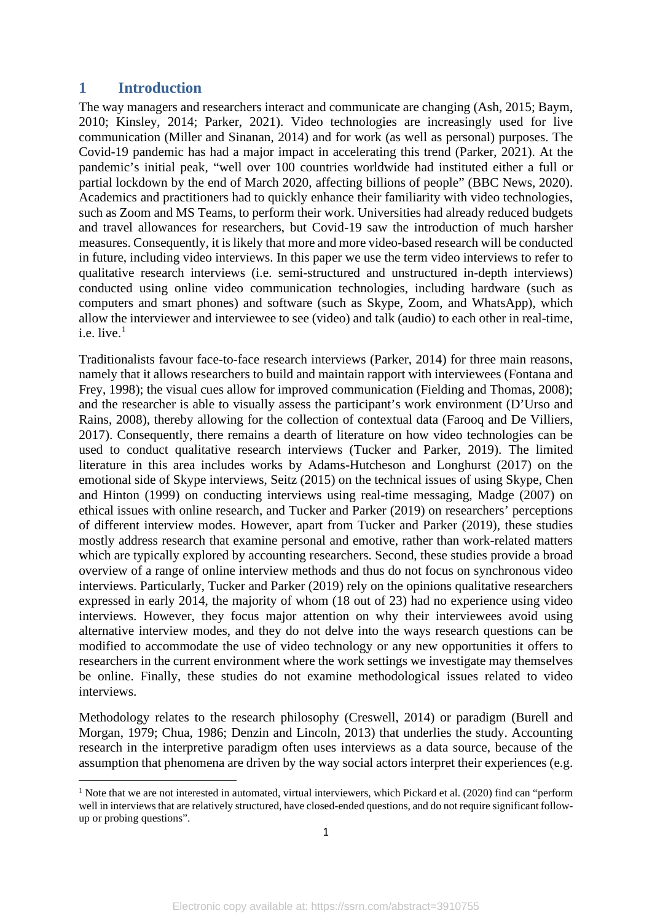#### **1 Introduction**

The way managers and researchers interact and communicate are changing (Ash, 2015; Baym, 2010; Kinsley, 2014; Parker, 2021). Video technologies are increasingly used for live communication (Miller and Sinanan, 2014) and for work (as well as personal) purposes. The Covid-19 pandemic has had a major impact in accelerating this trend (Parker, 2021). At the pandemic's initial peak, "well over 100 countries worldwide had instituted either a full or partial lockdown by the end of March 2020, affecting billions of people" (BBC News, 2020). Academics and practitioners had to quickly enhance their familiarity with video technologies, such as Zoom and MS Teams, to perform their work. Universities had already reduced budgets and travel allowances for researchers, but Covid-19 saw the introduction of much harsher measures. Consequently, it is likely that more and more video-based research will be conducted in future, including video interviews. In this paper we use the term video interviews to refer to qualitative research interviews (i.e. semi-structured and unstructured in-depth interviews) conducted using online video communication technologies, including hardware (such as computers and smart phones) and software (such as Skype, Zoom, and WhatsApp), which allow the interviewer and interviewee to see (video) and talk (audio) to each other in real-time, i.e. live. [1](#page--1-0)

Traditionalists favour face-to-face research interviews (Parker, 2014) for three main reasons, namely that it allows researchers to build and maintain rapport with interviewees (Fontana and Frey, 1998); the visual cues allow for improved communication (Fielding and Thomas, 2008); and the researcher is able to visually assess the participant's work environment (D'Urso and Rains, 2008), thereby allowing for the collection of contextual data (Farooq and De Villiers, 2017). Consequently, there remains a dearth of literature on how video technologies can be used to conduct qualitative research interviews (Tucker and Parker, 2019). The limited literature in this area includes works by Adams-Hutcheson and Longhurst (2017) on the emotional side of Skype interviews, Seitz (2015) on the technical issues of using Skype, Chen and Hinton (1999) on conducting interviews using real-time messaging, Madge (2007) on ethical issues with online research, and Tucker and Parker (2019) on researchers' perceptions of different interview modes. However, apart from Tucker and Parker (2019), these studies mostly address research that examine personal and emotive, rather than work-related matters which are typically explored by accounting researchers. Second, these studies provide a broad overview of a range of online interview methods and thus do not focus on synchronous video interviews. Particularly, Tucker and Parker (2019) rely on the opinions qualitative researchers expressed in early 2014, the majority of whom (18 out of 23) had no experience using video interviews. However, they focus major attention on why their interviewees avoid using alternative interview modes, and they do not delve into the ways research questions can be modified to accommodate the use of video technology or any new opportunities it offers to researchers in the current environment where the work settings we investigate may themselves be online. Finally, these studies do not examine methodological issues related to video interviews.

Methodology relates to the research philosophy (Creswell, 2014) or paradigm (Burell and Morgan, 1979; Chua, 1986; Denzin and Lincoln, 2013) that underlies the study. Accounting research in the interpretive paradigm often uses interviews as a data source, because of the assumption that phenomena are driven by the way social actors interpret their experiences (e.g.

<sup>&</sup>lt;sup>1</sup> Note that we are not interested in automated, virtual interviewers, which Pickard et al. (2020) find can "perform well in interviews that are relatively structured, have closed-ended questions, and do not require significant followup or probing questions".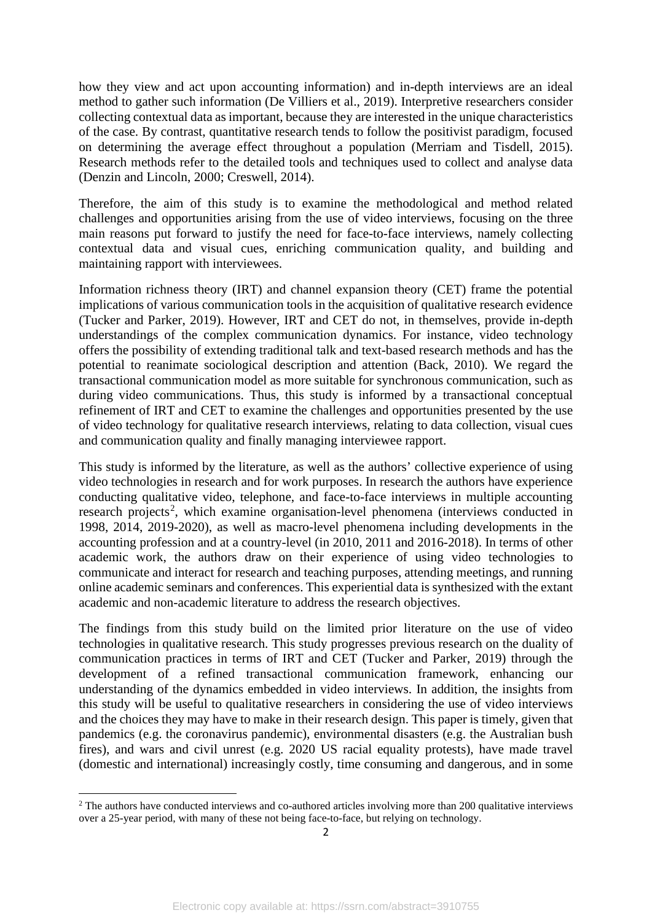how they view and act upon accounting information) and in-depth interviews are an ideal method to gather such information (De Villiers et al., 2019). Interpretive researchers consider collecting contextual data as important, because they are interested in the unique characteristics of the case. By contrast, quantitative research tends to follow the positivist paradigm, focused on determining the average effect throughout a population (Merriam and Tisdell, 2015). Research methods refer to the detailed tools and techniques used to collect and analyse data (Denzin and Lincoln, 2000; Creswell, 2014).

Therefore, the aim of this study is to examine the methodological and method related challenges and opportunities arising from the use of video interviews, focusing on the three main reasons put forward to justify the need for face-to-face interviews, namely collecting contextual data and visual cues, enriching communication quality, and building and maintaining rapport with interviewees.

Information richness theory (IRT) and channel expansion theory (CET) frame the potential implications of various communication tools in the acquisition of qualitative research evidence (Tucker and Parker, 2019). However, IRT and CET do not, in themselves, provide in-depth understandings of the complex communication dynamics. For instance, video technology offers the possibility of extending traditional talk and text-based research methods and has the potential to reanimate sociological description and attention (Back, 2010). We regard the transactional communication model as more suitable for synchronous communication, such as during video communications. Thus, this study is informed by a transactional conceptual refinement of IRT and CET to examine the challenges and opportunities presented by the use of video technology for qualitative research interviews, relating to data collection, visual cues and communication quality and finally managing interviewee rapport.

This study is informed by the literature, as well as the authors' collective experience of using video technologies in research and for work purposes. In research the authors have experience conducting qualitative video, telephone, and face-to-face interviews in multiple accounting research projects<sup>[2](#page--1-1)</sup>, which examine organisation-level phenomena (interviews conducted in 1998, 2014, 2019-2020), as well as macro-level phenomena including developments in the accounting profession and at a country-level (in 2010, 2011 and 2016-2018). In terms of other academic work, the authors draw on their experience of using video technologies to communicate and interact for research and teaching purposes, attending meetings, and running online academic seminars and conferences. This experiential data is synthesized with the extant academic and non-academic literature to address the research objectives.

The findings from this study build on the limited prior literature on the use of video technologies in qualitative research. This study progresses previous research on the duality of communication practices in terms of IRT and CET (Tucker and Parker, 2019) through the development of a refined transactional communication framework, enhancing our understanding of the dynamics embedded in video interviews. In addition, the insights from this study will be useful to qualitative researchers in considering the use of video interviews and the choices they may have to make in their research design. This paper is timely, given that pandemics (e.g. the coronavirus pandemic), environmental disasters (e.g. the Australian bush fires), and wars and civil unrest (e.g. 2020 US racial equality protests), have made travel (domestic and international) increasingly costly, time consuming and dangerous, and in some

<sup>&</sup>lt;sup>2</sup> The authors have conducted interviews and co-authored articles involving more than 200 qualitative interviews over a 25-year period, with many of these not being face-to-face, but relying on technology.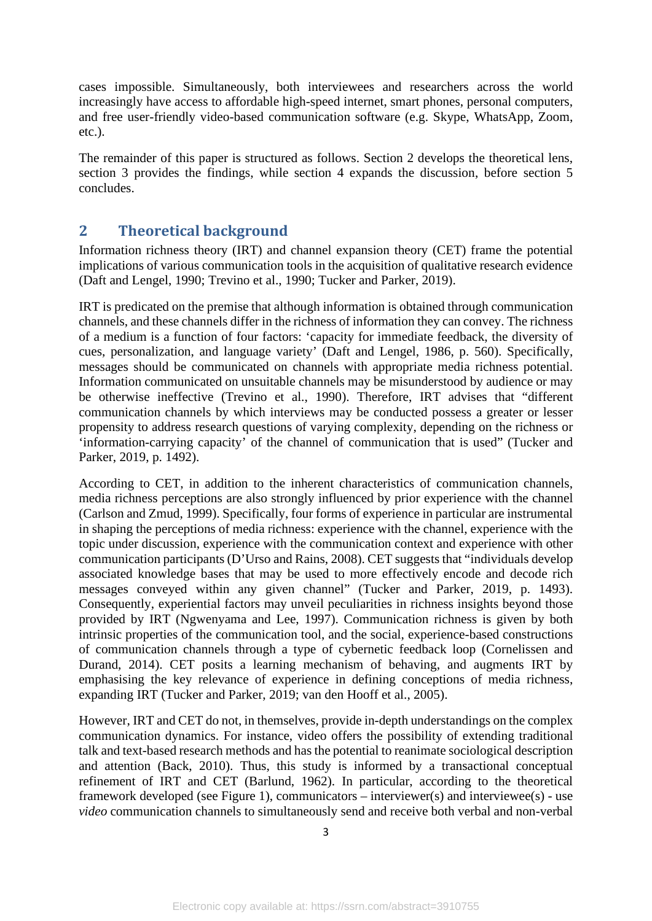cases impossible. Simultaneously, both interviewees and researchers across the world increasingly have access to affordable high-speed internet, smart phones, personal computers, and free user-friendly video-based communication software (e.g. Skype, WhatsApp, Zoom, etc.).

The remainder of this paper is structured as follows. Section 2 develops the theoretical lens, section 3 provides the findings, while section 4 expands the discussion, before section 5 concludes.

#### **2 Theoretical background**

Information richness theory (IRT) and channel expansion theory (CET) frame the potential implications of various communication tools in the acquisition of qualitative research evidence (Daft and Lengel, 1990; Trevino et al., 1990; Tucker and Parker, 2019).

IRT is predicated on the premise that although information is obtained through communication channels, and these channels differ in the richness of information they can convey. The richness of a medium is a function of four factors: 'capacity for immediate feedback, the diversity of cues, personalization, and language variety' (Daft and Lengel, 1986, p. 560). Specifically, messages should be communicated on channels with appropriate media richness potential. Information communicated on unsuitable channels may be misunderstood by audience or may be otherwise ineffective (Trevino et al., 1990). Therefore, IRT advises that "different communication channels by which interviews may be conducted possess a greater or lesser propensity to address research questions of varying complexity, depending on the richness or 'information-carrying capacity' of the channel of communication that is used" (Tucker and Parker, 2019, p. 1492).

According to CET, in addition to the inherent characteristics of communication channels, media richness perceptions are also strongly influenced by prior experience with the channel (Carlson and Zmud, 1999). Specifically, four forms of experience in particular are instrumental in shaping the perceptions of media richness: experience with the channel, experience with the topic under discussion, experience with the communication context and experience with other communication participants (D'Urso and Rains, 2008). CET suggests that "individuals develop associated knowledge bases that may be used to more effectively encode and decode rich messages conveyed within any given channel" (Tucker and Parker, 2019, p. 1493). Consequently, experiential factors may unveil peculiarities in richness insights beyond those provided by IRT (Ngwenyama and Lee, 1997). Communication richness is given by both intrinsic properties of the communication tool, and the social, experience-based constructions of communication channels through a type of cybernetic feedback loop (Cornelissen and Durand, 2014). CET posits a learning mechanism of behaving, and augments IRT by emphasising the key relevance of experience in defining conceptions of media richness, expanding IRT (Tucker and Parker, 2019; van den Hooff et al., 2005).

However, IRT and CET do not, in themselves, provide in-depth understandings on the complex communication dynamics. For instance, video offers the possibility of extending traditional talk and text-based research methods and has the potential to reanimate sociological description and attention (Back, 2010). Thus, this study is informed by a transactional conceptual refinement of IRT and CET (Barlund, 1962). In particular, according to the theoretical framework developed (see Figure 1), communicators – interviewer(s) and interviewee(s) - use *video* communication channels to simultaneously send and receive both verbal and non-verbal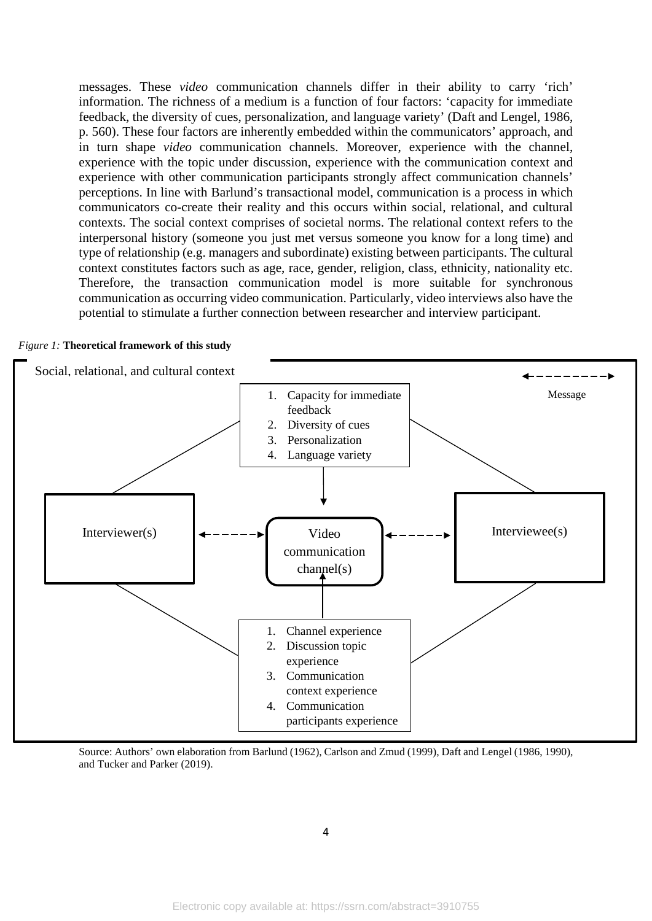messages. These *video* communication channels differ in their ability to carry 'rich' information. The richness of a medium is a function of four factors: 'capacity for immediate feedback, the diversity of cues, personalization, and language variety' (Daft and Lengel, 1986, p. 560). These four factors are inherently embedded within the communicators' approach, and in turn shape *video* communication channels. Moreover, experience with the channel, experience with the topic under discussion, experience with the communication context and experience with other communication participants strongly affect communication channels' perceptions. In line with Barlund's transactional model, communication is a process in which communicators co-create their reality and this occurs within social, relational, and cultural contexts. The social context comprises of societal norms. The relational context refers to the interpersonal history (someone you just met versus someone you know for a long time) and type of relationship (e.g. managers and subordinate) existing between participants. The cultural context constitutes factors such as age, race, gender, religion, class, ethnicity, nationality etc. Therefore, the transaction communication model is more suitable for synchronous communication as occurring video communication. Particularly, video interviews also have the potential to stimulate a further connection between researcher and interview participant.

#### *Figure 1:* **Theoretical framework of this study**



Source: Authors' own elaboration from Barlund (1962), Carlson and Zmud (1999), Daft and Lengel (1986, 1990), and Tucker and Parker (2019).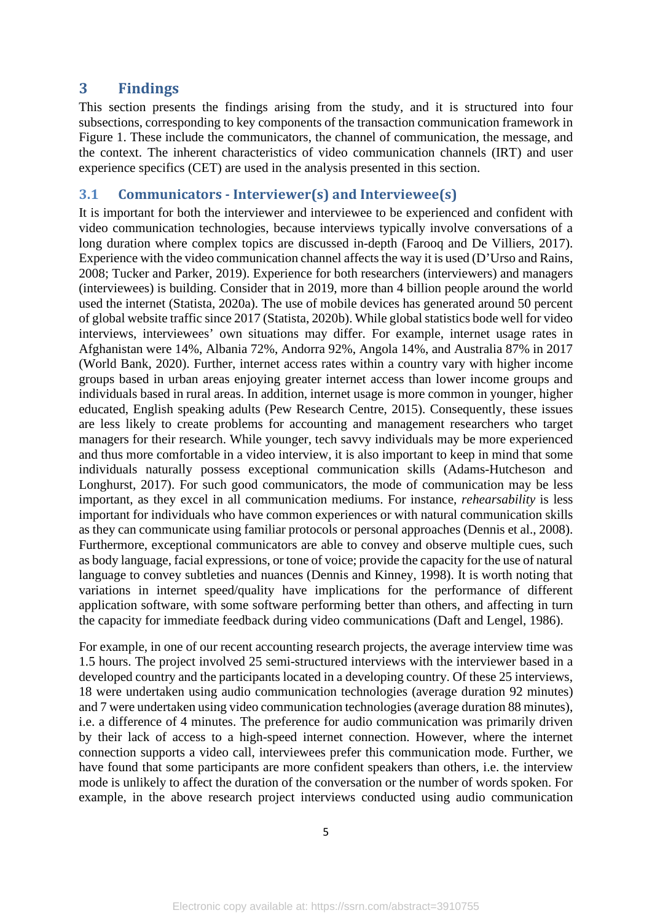#### **3 Findings**

This section presents the findings arising from the study, and it is structured into four subsections, corresponding to key components of the transaction communication framework in Figure 1. These include the communicators, the channel of communication, the message, and the context. The inherent characteristics of video communication channels (IRT) and user experience specifics (CET) are used in the analysis presented in this section.

#### **3.1 Communicators - Interviewer(s) and Interviewee(s)**

It is important for both the interviewer and interviewee to be experienced and confident with video communication technologies, because interviews typically involve conversations of a long duration where complex topics are discussed in-depth (Farooq and De Villiers, 2017). Experience with the video communication channel affects the way it is used (D'Urso and Rains, 2008; Tucker and Parker, 2019). Experience for both researchers (interviewers) and managers (interviewees) is building. Consider that in 2019, more than 4 billion people around the world used the internet (Statista, 2020a). The use of mobile devices has generated around 50 percent of global website traffic since 2017 (Statista, 2020b). While global statistics bode well for video interviews, interviewees' own situations may differ. For example, internet usage rates in Afghanistan were 14%, Albania 72%, Andorra 92%, Angola 14%, and Australia 87% in 2017 (World Bank, 2020). Further, internet access rates within a country vary with higher income groups based in urban areas enjoying greater internet access than lower income groups and individuals based in rural areas. In addition, internet usage is more common in younger, higher educated, English speaking adults (Pew Research Centre, 2015). Consequently, these issues are less likely to create problems for accounting and management researchers who target managers for their research. While younger, tech savvy individuals may be more experienced and thus more comfortable in a video interview, it is also important to keep in mind that some individuals naturally possess exceptional communication skills (Adams-Hutcheson and Longhurst, 2017). For such good communicators, the mode of communication may be less important, as they excel in all communication mediums. For instance, *rehearsability* is less important for individuals who have common experiences or with natural communication skills as they can communicate using familiar protocols or personal approaches (Dennis et al., 2008). Furthermore, exceptional communicators are able to convey and observe multiple cues, such as body language, facial expressions, or tone of voice; provide the capacity for the use of natural language to convey subtleties and nuances (Dennis and Kinney, 1998). It is worth noting that variations in internet speed/quality have implications for the performance of different application software, with some software performing better than others, and affecting in turn the capacity for immediate feedback during video communications (Daft and Lengel, 1986).

For example, in one of our recent accounting research projects, the average interview time was 1.5 hours. The project involved 25 semi-structured interviews with the interviewer based in a developed country and the participants located in a developing country. Of these 25 interviews, 18 were undertaken using audio communication technologies (average duration 92 minutes) and 7 were undertaken using video communication technologies (average duration 88 minutes), i.e. a difference of 4 minutes. The preference for audio communication was primarily driven by their lack of access to a high-speed internet connection. However, where the internet connection supports a video call, interviewees prefer this communication mode. Further, we have found that some participants are more confident speakers than others, i.e. the interview mode is unlikely to affect the duration of the conversation or the number of words spoken. For example, in the above research project interviews conducted using audio communication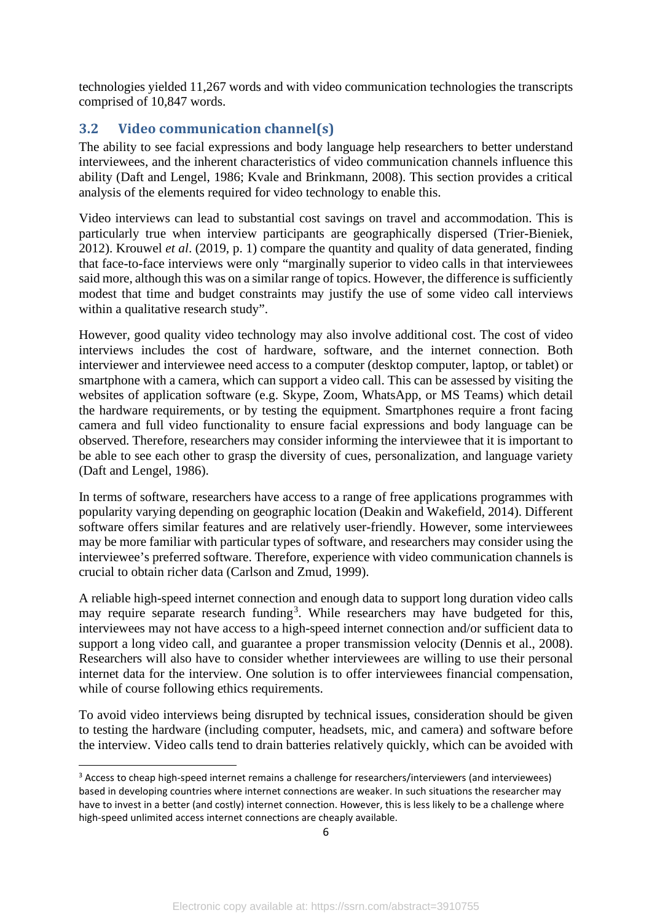technologies yielded 11,267 words and with video communication technologies the transcripts comprised of 10,847 words.

#### **3.2 Video communication channel(s)**

The ability to see facial expressions and body language help researchers to better understand interviewees, and the inherent characteristics of video communication channels influence this ability (Daft and Lengel, 1986; Kvale and Brinkmann, 2008). This section provides a critical analysis of the elements required for video technology to enable this.

Video interviews can lead to substantial cost savings on travel and accommodation. This is particularly true when interview participants are geographically dispersed (Trier-Bieniek, 2012). Krouwel *et al*. (2019, p. 1) compare the quantity and quality of data generated, finding that face-to-face interviews were only "marginally superior to video calls in that interviewees said more, although this was on a similar range of topics. However, the difference is sufficiently modest that time and budget constraints may justify the use of some video call interviews within a qualitative research study".

However, good quality video technology may also involve additional cost. The cost of video interviews includes the cost of hardware, software, and the internet connection. Both interviewer and interviewee need access to a computer (desktop computer, laptop, or tablet) or smartphone with a camera, which can support a video call. This can be assessed by visiting the websites of application software (e.g. Skype, Zoom, WhatsApp, or MS Teams) which detail the hardware requirements, or by testing the equipment. Smartphones require a front facing camera and full video functionality to ensure facial expressions and body language can be observed. Therefore, researchers may consider informing the interviewee that it is important to be able to see each other to grasp the diversity of cues, personalization, and language variety (Daft and Lengel, 1986).

In terms of software, researchers have access to a range of free applications programmes with popularity varying depending on geographic location (Deakin and Wakefield, 2014). Different software offers similar features and are relatively user-friendly. However, some interviewees may be more familiar with particular types of software, and researchers may consider using the interviewee's preferred software. Therefore, experience with video communication channels is crucial to obtain richer data (Carlson and Zmud, 1999).

A reliable high-speed internet connection and enough data to support long duration video calls may require separate research funding<sup>[3](#page--1-2)</sup>. While researchers may have budgeted for this, interviewees may not have access to a high-speed internet connection and/or sufficient data to support a long video call, and guarantee a proper transmission velocity (Dennis et al., 2008). Researchers will also have to consider whether interviewees are willing to use their personal internet data for the interview. One solution is to offer interviewees financial compensation, while of course following ethics requirements.

To avoid video interviews being disrupted by technical issues, consideration should be given to testing the hardware (including computer, headsets, mic, and camera) and software before the interview. Video calls tend to drain batteries relatively quickly, which can be avoided with

<sup>&</sup>lt;sup>3</sup> Access to cheap high-speed internet remains a challenge for researchers/interviewers (and interviewees) based in developing countries where internet connections are weaker. In such situations the researcher may have to invest in a better (and costly) internet connection. However, this is less likely to be a challenge where high-speed unlimited access internet connections are cheaply available.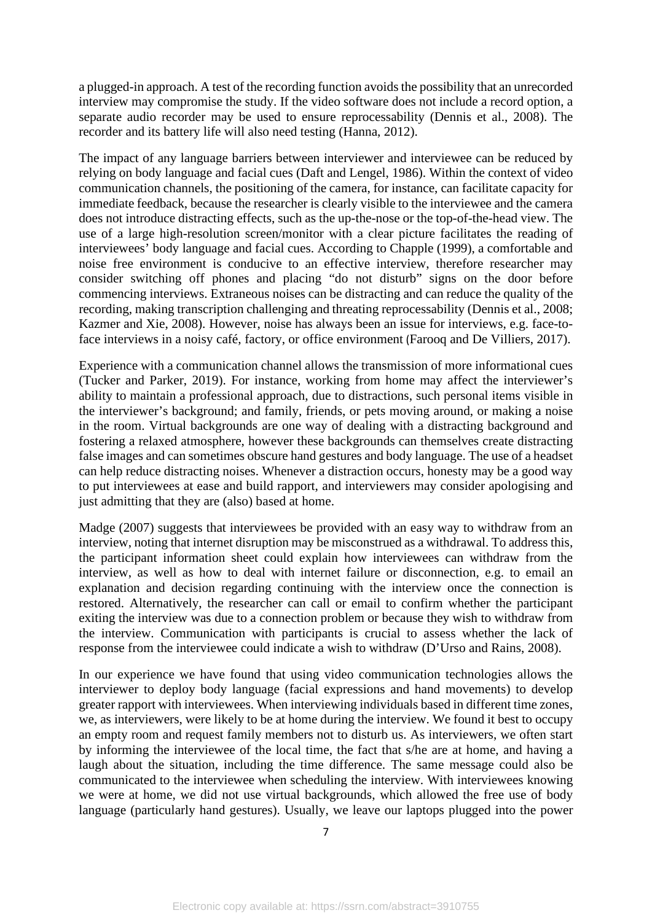a plugged-in approach. A test of the recording function avoids the possibility that an unrecorded interview may compromise the study. If the video software does not include a record option, a separate audio recorder may be used to ensure reprocessability (Dennis et al., 2008). The recorder and its battery life will also need testing (Hanna, 2012).

The impact of any language barriers between interviewer and interviewee can be reduced by relying on body language and facial cues (Daft and Lengel, 1986). Within the context of video communication channels, the positioning of the camera, for instance, can facilitate capacity for immediate feedback, because the researcher is clearly visible to the interviewee and the camera does not introduce distracting effects, such as the up-the-nose or the top-of-the-head view. The use of a large high-resolution screen/monitor with a clear picture facilitates the reading of interviewees' body language and facial cues. According to Chapple (1999), a comfortable and noise free environment is conducive to an effective interview, therefore researcher may consider switching off phones and placing "do not disturb" signs on the door before commencing interviews. Extraneous noises can be distracting and can reduce the quality of the recording, making transcription challenging and threating reprocessability (Dennis et al., 2008; Kazmer and Xie, 2008). However, noise has always been an issue for interviews, e.g. face-toface interviews in a noisy café, factory, or office environment (Farooq and De Villiers, 2017).

Experience with a communication channel allows the transmission of more informational cues (Tucker and Parker, 2019). For instance, working from home may affect the interviewer's ability to maintain a professional approach, due to distractions, such personal items visible in the interviewer's background; and family, friends, or pets moving around, or making a noise in the room. Virtual backgrounds are one way of dealing with a distracting background and fostering a relaxed atmosphere, however these backgrounds can themselves create distracting false images and can sometimes obscure hand gestures and body language. The use of a headset can help reduce distracting noises. Whenever a distraction occurs, honesty may be a good way to put interviewees at ease and build rapport, and interviewers may consider apologising and just admitting that they are (also) based at home.

Madge (2007) suggests that interviewees be provided with an easy way to withdraw from an interview, noting that internet disruption may be misconstrued as a withdrawal. To address this, the participant information sheet could explain how interviewees can withdraw from the interview, as well as how to deal with internet failure or disconnection, e.g. to email an explanation and decision regarding continuing with the interview once the connection is restored. Alternatively, the researcher can call or email to confirm whether the participant exiting the interview was due to a connection problem or because they wish to withdraw from the interview. Communication with participants is crucial to assess whether the lack of response from the interviewee could indicate a wish to withdraw (D'Urso and Rains, 2008).

In our experience we have found that using video communication technologies allows the interviewer to deploy body language (facial expressions and hand movements) to develop greater rapport with interviewees. When interviewing individuals based in different time zones, we, as interviewers, were likely to be at home during the interview. We found it best to occupy an empty room and request family members not to disturb us. As interviewers, we often start by informing the interviewee of the local time, the fact that s/he are at home, and having a laugh about the situation, including the time difference. The same message could also be communicated to the interviewee when scheduling the interview. With interviewees knowing we were at home, we did not use virtual backgrounds, which allowed the free use of body language (particularly hand gestures). Usually, we leave our laptops plugged into the power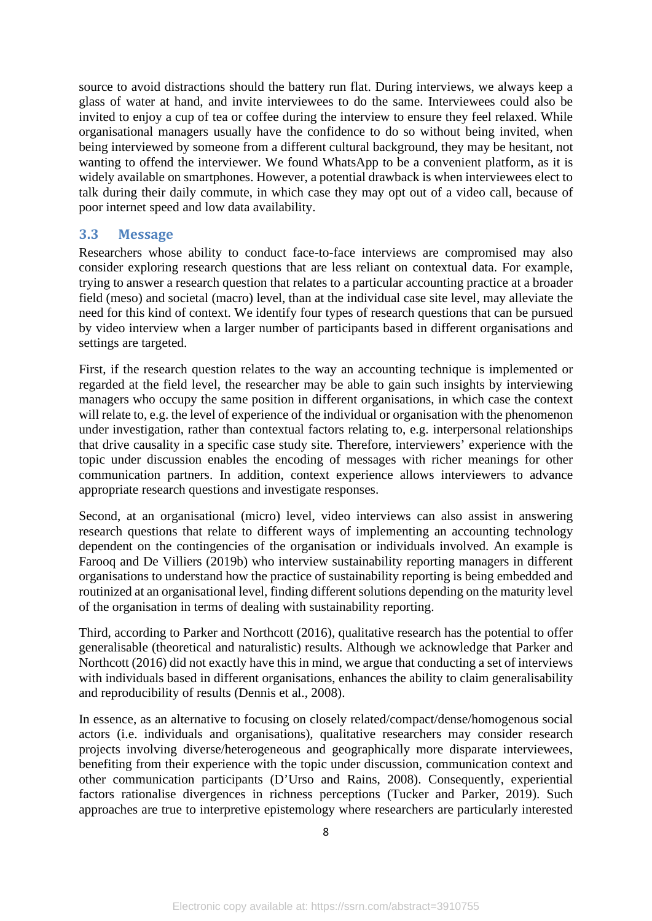source to avoid distractions should the battery run flat. During interviews, we always keep a glass of water at hand, and invite interviewees to do the same. Interviewees could also be invited to enjoy a cup of tea or coffee during the interview to ensure they feel relaxed. While organisational managers usually have the confidence to do so without being invited, when being interviewed by someone from a different cultural background, they may be hesitant, not wanting to offend the interviewer. We found WhatsApp to be a convenient platform, as it is widely available on smartphones. However, a potential drawback is when interviewees elect to talk during their daily commute, in which case they may opt out of a video call, because of poor internet speed and low data availability.

#### **3.3 Message**

Researchers whose ability to conduct face-to-face interviews are compromised may also consider exploring research questions that are less reliant on contextual data. For example, trying to answer a research question that relates to a particular accounting practice at a broader field (meso) and societal (macro) level, than at the individual case site level, may alleviate the need for this kind of context. We identify four types of research questions that can be pursued by video interview when a larger number of participants based in different organisations and settings are targeted.

First, if the research question relates to the way an accounting technique is implemented or regarded at the field level, the researcher may be able to gain such insights by interviewing managers who occupy the same position in different organisations, in which case the context will relate to, e.g. the level of experience of the individual or organisation with the phenomenon under investigation, rather than contextual factors relating to, e.g. interpersonal relationships that drive causality in a specific case study site. Therefore, interviewers' experience with the topic under discussion enables the encoding of messages with richer meanings for other communication partners. In addition, context experience allows interviewers to advance appropriate research questions and investigate responses.

Second, at an organisational (micro) level, video interviews can also assist in answering research questions that relate to different ways of implementing an accounting technology dependent on the contingencies of the organisation or individuals involved. An example is Farooq and De Villiers (2019b) who interview sustainability reporting managers in different organisations to understand how the practice of sustainability reporting is being embedded and routinized at an organisational level, finding different solutions depending on the maturity level of the organisation in terms of dealing with sustainability reporting.

Third, according to Parker and Northcott (2016), qualitative research has the potential to offer generalisable (theoretical and naturalistic) results. Although we acknowledge that Parker and Northcott (2016) did not exactly have this in mind, we argue that conducting a set of interviews with individuals based in different organisations, enhances the ability to claim generalisability and reproducibility of results (Dennis et al., 2008).

In essence, as an alternative to focusing on closely related/compact/dense/homogenous social actors (i.e. individuals and organisations), qualitative researchers may consider research projects involving diverse/heterogeneous and geographically more disparate interviewees, benefiting from their experience with the topic under discussion, communication context and other communication participants (D'Urso and Rains, 2008). Consequently, experiential factors rationalise divergences in richness perceptions (Tucker and Parker, 2019). Such approaches are true to interpretive epistemology where researchers are particularly interested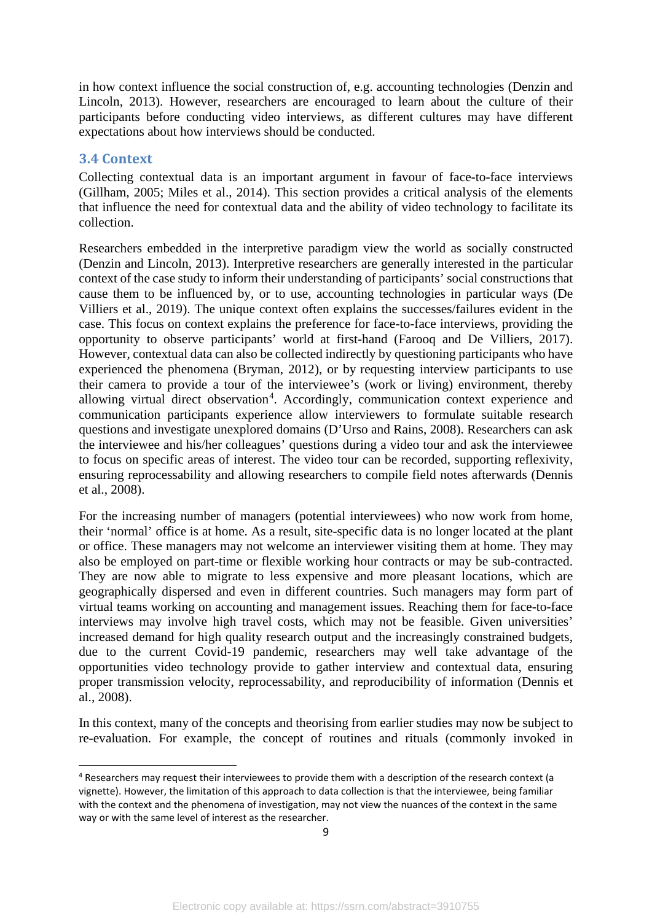in how context influence the social construction of, e.g. accounting technologies (Denzin and Lincoln, 2013). However, researchers are encouraged to learn about the culture of their participants before conducting video interviews, as different cultures may have different expectations about how interviews should be conducted.

#### **3.4 Context**

Collecting contextual data is an important argument in favour of face-to-face interviews (Gillham, 2005; Miles et al., 2014). This section provides a critical analysis of the elements that influence the need for contextual data and the ability of video technology to facilitate its collection.

Researchers embedded in the interpretive paradigm view the world as socially constructed (Denzin and Lincoln, 2013). Interpretive researchers are generally interested in the particular context of the case study to inform their understanding of participants' social constructions that cause them to be influenced by, or to use, accounting technologies in particular ways (De Villiers et al., 2019). The unique context often explains the successes/failures evident in the case. This focus on context explains the preference for face-to-face interviews, providing the opportunity to observe participants' world at first-hand (Farooq and De Villiers, 2017). However, contextual data can also be collected indirectly by questioning participants who have experienced the phenomena (Bryman, 2012), or by requesting interview participants to use their camera to provide a tour of the interviewee's (work or living) environment, thereby allowing virtual direct observation<sup>[4](#page--1-2)</sup>. Accordingly, communication context experience and communication participants experience allow interviewers to formulate suitable research questions and investigate unexplored domains (D'Urso and Rains, 2008). Researchers can ask the interviewee and his/her colleagues' questions during a video tour and ask the interviewee to focus on specific areas of interest. The video tour can be recorded, supporting reflexivity, ensuring reprocessability and allowing researchers to compile field notes afterwards (Dennis et al., 2008).

For the increasing number of managers (potential interviewees) who now work from home, their 'normal' office is at home. As a result, site-specific data is no longer located at the plant or office. These managers may not welcome an interviewer visiting them at home. They may also be employed on part-time or flexible working hour contracts or may be sub-contracted. They are now able to migrate to less expensive and more pleasant locations, which are geographically dispersed and even in different countries. Such managers may form part of virtual teams working on accounting and management issues. Reaching them for face-to-face interviews may involve high travel costs, which may not be feasible. Given universities' increased demand for high quality research output and the increasingly constrained budgets, due to the current Covid-19 pandemic, researchers may well take advantage of the opportunities video technology provide to gather interview and contextual data, ensuring proper transmission velocity, reprocessability, and reproducibility of information (Dennis et al., 2008).

In this context, many of the concepts and theorising from earlier studies may now be subject to re-evaluation. For example, the concept of routines and rituals (commonly invoked in

<sup>&</sup>lt;sup>4</sup> Researchers may request their interviewees to provide them with a description of the research context (a vignette). However, the limitation of this approach to data collection is that the interviewee, being familiar with the context and the phenomena of investigation, may not view the nuances of the context in the same way or with the same level of interest as the researcher.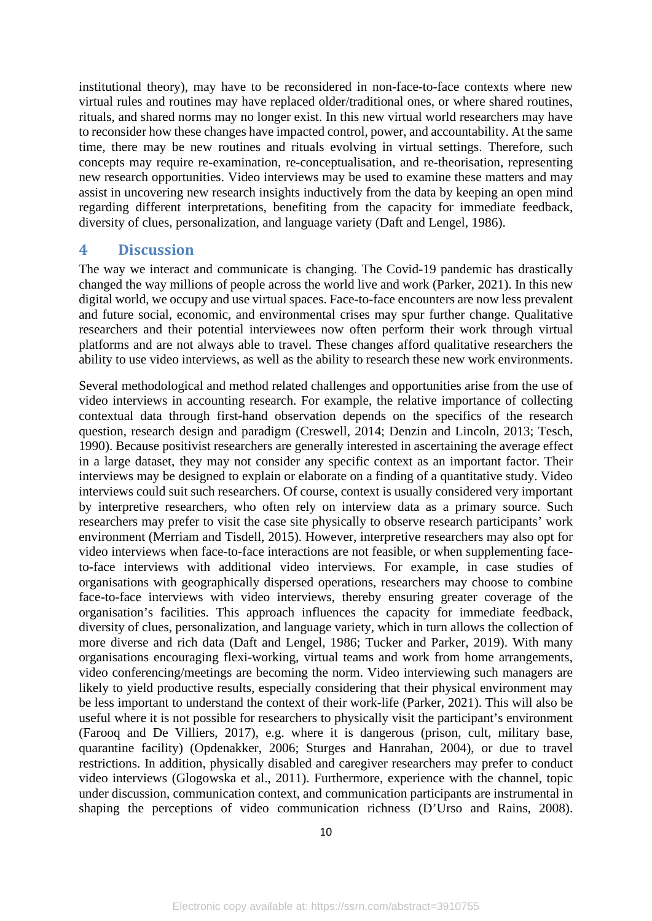institutional theory), may have to be reconsidered in non-face-to-face contexts where new virtual rules and routines may have replaced older/traditional ones, or where shared routines, rituals, and shared norms may no longer exist. In this new virtual world researchers may have to reconsider how these changes have impacted control, power, and accountability. At the same time, there may be new routines and rituals evolving in virtual settings. Therefore, such concepts may require re-examination, re-conceptualisation, and re-theorisation, representing new research opportunities. Video interviews may be used to examine these matters and may assist in uncovering new research insights inductively from the data by keeping an open mind regarding different interpretations, benefiting from the capacity for immediate feedback, diversity of clues, personalization, and language variety (Daft and Lengel, 1986).

#### **4 Discussion**

The way we interact and communicate is changing. The Covid-19 pandemic has drastically changed the way millions of people across the world live and work (Parker, 2021). In this new digital world, we occupy and use virtual spaces. Face-to-face encounters are now less prevalent and future social, economic, and environmental crises may spur further change. Qualitative researchers and their potential interviewees now often perform their work through virtual platforms and are not always able to travel. These changes afford qualitative researchers the ability to use video interviews, as well as the ability to research these new work environments.

Several methodological and method related challenges and opportunities arise from the use of video interviews in accounting research. For example, the relative importance of collecting contextual data through first-hand observation depends on the specifics of the research question, research design and paradigm (Creswell, 2014; Denzin and Lincoln, 2013; Tesch, 1990). Because positivist researchers are generally interested in ascertaining the average effect in a large dataset, they may not consider any specific context as an important factor. Their interviews may be designed to explain or elaborate on a finding of a quantitative study. Video interviews could suit such researchers. Of course, context is usually considered very important by interpretive researchers, who often rely on interview data as a primary source. Such researchers may prefer to visit the case site physically to observe research participants' work environment (Merriam and Tisdell, 2015). However, interpretive researchers may also opt for video interviews when face-to-face interactions are not feasible, or when supplementing faceto-face interviews with additional video interviews. For example, in case studies of organisations with geographically dispersed operations, researchers may choose to combine face-to-face interviews with video interviews, thereby ensuring greater coverage of the organisation's facilities. This approach influences the capacity for immediate feedback, diversity of clues, personalization, and language variety, which in turn allows the collection of more diverse and rich data (Daft and Lengel, 1986; Tucker and Parker, 2019). With many organisations encouraging flexi-working, virtual teams and work from home arrangements, video conferencing/meetings are becoming the norm. Video interviewing such managers are likely to yield productive results, especially considering that their physical environment may be less important to understand the context of their work-life (Parker, 2021). This will also be useful where it is not possible for researchers to physically visit the participant's environment (Farooq and De Villiers, 2017), e.g. where it is dangerous (prison, cult, military base, quarantine facility) (Opdenakker, 2006; Sturges and Hanrahan, 2004), or due to travel restrictions. In addition, physically disabled and caregiver researchers may prefer to conduct video interviews (Glogowska et al., 2011). Furthermore, experience with the channel, topic under discussion, communication context, and communication participants are instrumental in shaping the perceptions of video communication richness (D'Urso and Rains, 2008).

10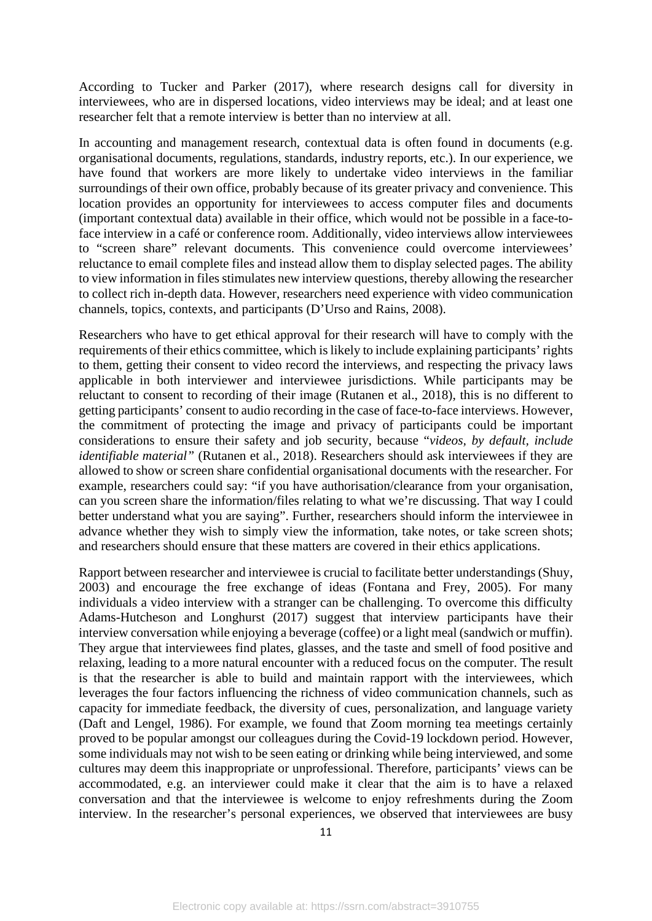According to Tucker and Parker (2017), where research designs call for diversity in interviewees, who are in dispersed locations, video interviews may be ideal; and at least one researcher felt that a remote interview is better than no interview at all.

In accounting and management research, contextual data is often found in documents (e.g. organisational documents, regulations, standards, industry reports, etc.). In our experience, we have found that workers are more likely to undertake video interviews in the familiar surroundings of their own office, probably because of its greater privacy and convenience. This location provides an opportunity for interviewees to access computer files and documents (important contextual data) available in their office, which would not be possible in a face-toface interview in a café or conference room. Additionally, video interviews allow interviewees to "screen share" relevant documents. This convenience could overcome interviewees' reluctance to email complete files and instead allow them to display selected pages. The ability to view information in files stimulates new interview questions, thereby allowing the researcher to collect rich in-depth data. However, researchers need experience with video communication channels, topics, contexts, and participants (D'Urso and Rains, 2008).

Researchers who have to get ethical approval for their research will have to comply with the requirements of their ethics committee, which is likely to include explaining participants' rights to them, getting their consent to video record the interviews, and respecting the privacy laws applicable in both interviewer and interviewee jurisdictions. While participants may be reluctant to consent to recording of their image (Rutanen et al., 2018), this is no different to getting participants' consent to audio recording in the case of face-to-face interviews. However, the commitment of protecting the image and privacy of participants could be important considerations to ensure their safety and job security, because "*videos, by default, include identifiable material"* (Rutanen et al., 2018). Researchers should ask interviewees if they are allowed to show or screen share confidential organisational documents with the researcher. For example, researchers could say: "if you have authorisation/clearance from your organisation, can you screen share the information/files relating to what we're discussing. That way I could better understand what you are saying". Further, researchers should inform the interviewee in advance whether they wish to simply view the information, take notes, or take screen shots; and researchers should ensure that these matters are covered in their ethics applications.

Rapport between researcher and interviewee is crucial to facilitate better understandings (Shuy, 2003) and encourage the free exchange of ideas (Fontana and Frey, 2005). For many individuals a video interview with a stranger can be challenging. To overcome this difficulty Adams-Hutcheson and Longhurst (2017) suggest that interview participants have their interview conversation while enjoying a beverage (coffee) or a light meal (sandwich or muffin). They argue that interviewees find plates, glasses, and the taste and smell of food positive and relaxing, leading to a more natural encounter with a reduced focus on the computer. The result is that the researcher is able to build and maintain rapport with the interviewees, which leverages the four factors influencing the richness of video communication channels, such as capacity for immediate feedback, the diversity of cues, personalization, and language variety (Daft and Lengel, 1986). For example, we found that Zoom morning tea meetings certainly proved to be popular amongst our colleagues during the Covid-19 lockdown period. However, some individuals may not wish to be seen eating or drinking while being interviewed, and some cultures may deem this inappropriate or unprofessional. Therefore, participants' views can be accommodated, e.g. an interviewer could make it clear that the aim is to have a relaxed conversation and that the interviewee is welcome to enjoy refreshments during the Zoom interview. In the researcher's personal experiences, we observed that interviewees are busy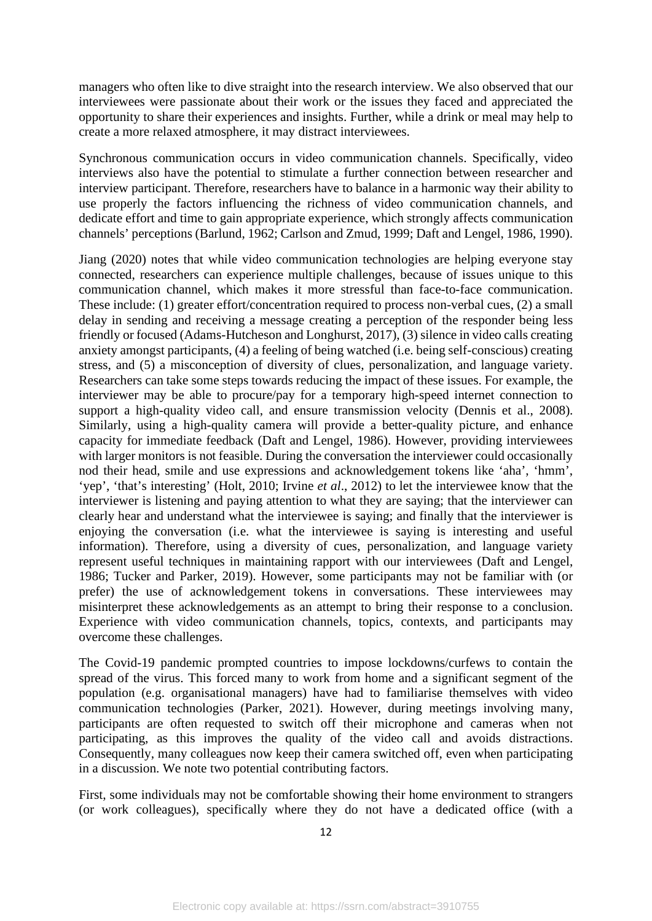managers who often like to dive straight into the research interview. We also observed that our interviewees were passionate about their work or the issues they faced and appreciated the opportunity to share their experiences and insights. Further, while a drink or meal may help to create a more relaxed atmosphere, it may distract interviewees.

Synchronous communication occurs in video communication channels. Specifically, video interviews also have the potential to stimulate a further connection between researcher and interview participant. Therefore, researchers have to balance in a harmonic way their ability to use properly the factors influencing the richness of video communication channels, and dedicate effort and time to gain appropriate experience, which strongly affects communication channels' perceptions (Barlund, 1962; Carlson and Zmud, 1999; Daft and Lengel, 1986, 1990).

Jiang (2020) notes that while video communication technologies are helping everyone stay connected, researchers can experience multiple challenges, because of issues unique to this communication channel, which makes it more stressful than face-to-face communication. These include: (1) greater effort/concentration required to process non-verbal cues, (2) a small delay in sending and receiving a message creating a perception of the responder being less friendly or focused (Adams-Hutcheson and Longhurst, 2017), (3) silence in video calls creating anxiety amongst participants, (4) a feeling of being watched (i.e. being self-conscious) creating stress, and (5) a misconception of diversity of clues, personalization, and language variety. Researchers can take some steps towards reducing the impact of these issues. For example, the interviewer may be able to procure/pay for a temporary high-speed internet connection to support a high-quality video call, and ensure transmission velocity (Dennis et al., 2008). Similarly, using a high-quality camera will provide a better-quality picture, and enhance capacity for immediate feedback (Daft and Lengel, 1986). However, providing interviewees with larger monitors is not feasible. During the conversation the interviewer could occasionally nod their head, smile and use expressions and acknowledgement tokens like 'aha', 'hmm', 'yep', 'that's interesting' (Holt, 2010; Irvine *et al*., 2012) to let the interviewee know that the interviewer is listening and paying attention to what they are saying; that the interviewer can clearly hear and understand what the interviewee is saying; and finally that the interviewer is enjoying the conversation (i.e. what the interviewee is saying is interesting and useful information). Therefore, using a diversity of cues, personalization, and language variety represent useful techniques in maintaining rapport with our interviewees (Daft and Lengel, 1986; Tucker and Parker, 2019). However, some participants may not be familiar with (or prefer) the use of acknowledgement tokens in conversations. These interviewees may misinterpret these acknowledgements as an attempt to bring their response to a conclusion. Experience with video communication channels, topics, contexts, and participants may overcome these challenges.

The Covid-19 pandemic prompted countries to impose lockdowns/curfews to contain the spread of the virus. This forced many to work from home and a significant segment of the population (e.g. organisational managers) have had to familiarise themselves with video communication technologies (Parker, 2021). However, during meetings involving many, participants are often requested to switch off their microphone and cameras when not participating, as this improves the quality of the video call and avoids distractions. Consequently, many colleagues now keep their camera switched off, even when participating in a discussion. We note two potential contributing factors.

First, some individuals may not be comfortable showing their home environment to strangers (or work colleagues), specifically where they do not have a dedicated office (with a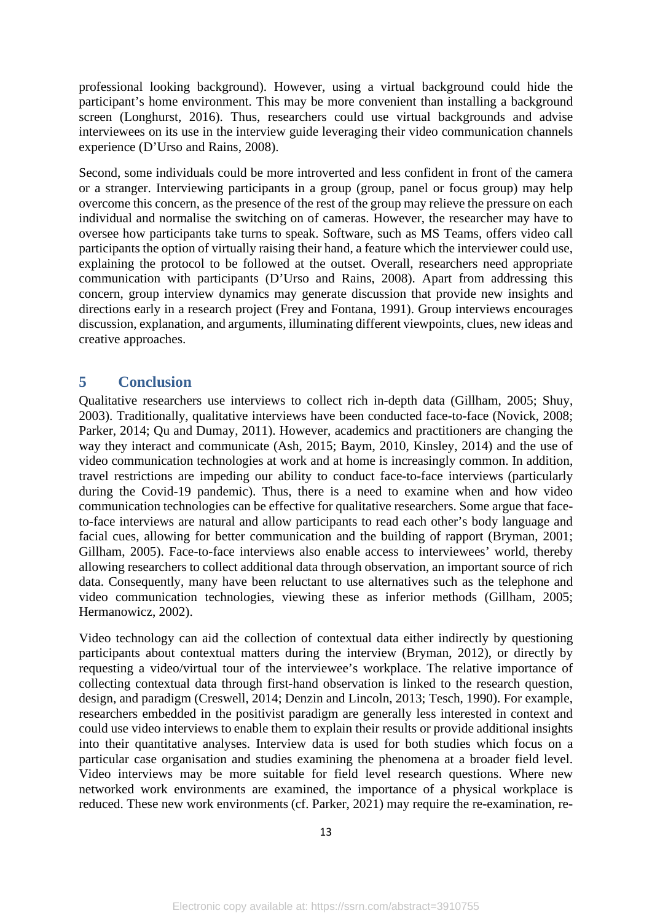professional looking background). However, using a virtual background could hide the participant's home environment. This may be more convenient than installing a background screen (Longhurst, 2016). Thus, researchers could use virtual backgrounds and advise interviewees on its use in the interview guide leveraging their video communication channels experience (D'Urso and Rains, 2008).

Second, some individuals could be more introverted and less confident in front of the camera or a stranger. Interviewing participants in a group (group, panel or focus group) may help overcome this concern, as the presence of the rest of the group may relieve the pressure on each individual and normalise the switching on of cameras. However, the researcher may have to oversee how participants take turns to speak. Software, such as MS Teams, offers video call participants the option of virtually raising their hand, a feature which the interviewer could use, explaining the protocol to be followed at the outset. Overall, researchers need appropriate communication with participants (D'Urso and Rains, 2008). Apart from addressing this concern, group interview dynamics may generate discussion that provide new insights and directions early in a research project (Frey and Fontana, 1991). Group interviews encourages discussion, explanation, and arguments, illuminating different viewpoints, clues, new ideas and creative approaches.

#### **5 Conclusion**

Qualitative researchers use interviews to collect rich in-depth data (Gillham, 2005; Shuy, 2003). Traditionally, qualitative interviews have been conducted face-to-face (Novick, 2008; Parker, 2014; Qu and Dumay, 2011). However, academics and practitioners are changing the way they interact and communicate (Ash, 2015; Baym, 2010, Kinsley, 2014) and the use of video communication technologies at work and at home is increasingly common. In addition, travel restrictions are impeding our ability to conduct face-to-face interviews (particularly during the Covid-19 pandemic). Thus, there is a need to examine when and how video communication technologies can be effective for qualitative researchers. Some argue that faceto-face interviews are natural and allow participants to read each other's body language and facial cues, allowing for better communication and the building of rapport (Bryman, 2001; Gillham, 2005). Face-to-face interviews also enable access to interviewees' world, thereby allowing researchers to collect additional data through observation, an important source of rich data. Consequently, many have been reluctant to use alternatives such as the telephone and video communication technologies, viewing these as inferior methods (Gillham, 2005; Hermanowicz, 2002).

Video technology can aid the collection of contextual data either indirectly by questioning participants about contextual matters during the interview (Bryman, 2012), or directly by requesting a video/virtual tour of the interviewee's workplace. The relative importance of collecting contextual data through first-hand observation is linked to the research question, design, and paradigm (Creswell, 2014; Denzin and Lincoln, 2013; Tesch, 1990). For example, researchers embedded in the positivist paradigm are generally less interested in context and could use video interviews to enable them to explain their results or provide additional insights into their quantitative analyses. Interview data is used for both studies which focus on a particular case organisation and studies examining the phenomena at a broader field level. Video interviews may be more suitable for field level research questions. Where new networked work environments are examined, the importance of a physical workplace is reduced. These new work environments (cf. Parker, 2021) may require the re-examination, re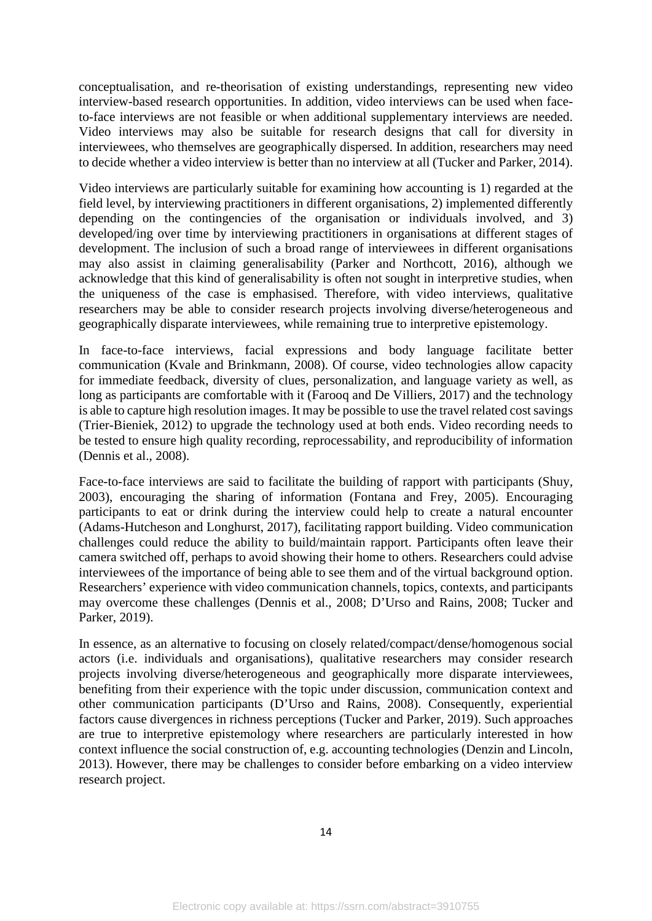conceptualisation, and re-theorisation of existing understandings, representing new video interview-based research opportunities. In addition, video interviews can be used when faceto-face interviews are not feasible or when additional supplementary interviews are needed. Video interviews may also be suitable for research designs that call for diversity in interviewees, who themselves are geographically dispersed. In addition, researchers may need to decide whether a video interview is better than no interview at all (Tucker and Parker, 2014).

Video interviews are particularly suitable for examining how accounting is 1) regarded at the field level, by interviewing practitioners in different organisations, 2) implemented differently depending on the contingencies of the organisation or individuals involved, and 3) developed/ing over time by interviewing practitioners in organisations at different stages of development. The inclusion of such a broad range of interviewees in different organisations may also assist in claiming generalisability (Parker and Northcott, 2016), although we acknowledge that this kind of generalisability is often not sought in interpretive studies, when the uniqueness of the case is emphasised. Therefore, with video interviews, qualitative researchers may be able to consider research projects involving diverse/heterogeneous and geographically disparate interviewees, while remaining true to interpretive epistemology.

In face-to-face interviews, facial expressions and body language facilitate better communication (Kvale and Brinkmann, 2008). Of course, video technologies allow capacity for immediate feedback, diversity of clues, personalization, and language variety as well, as long as participants are comfortable with it (Farooq and De Villiers, 2017) and the technology is able to capture high resolution images. It may be possible to use the travel related cost savings (Trier-Bieniek, 2012) to upgrade the technology used at both ends. Video recording needs to be tested to ensure high quality recording, reprocessability, and reproducibility of information (Dennis et al., 2008).

Face-to-face interviews are said to facilitate the building of rapport with participants (Shuy, 2003), encouraging the sharing of information (Fontana and Frey, 2005). Encouraging participants to eat or drink during the interview could help to create a natural encounter (Adams-Hutcheson and Longhurst, 2017), facilitating rapport building. Video communication challenges could reduce the ability to build/maintain rapport. Participants often leave their camera switched off, perhaps to avoid showing their home to others. Researchers could advise interviewees of the importance of being able to see them and of the virtual background option. Researchers' experience with video communication channels, topics, contexts, and participants may overcome these challenges (Dennis et al., 2008; D'Urso and Rains, 2008; Tucker and Parker, 2019).

In essence, as an alternative to focusing on closely related/compact/dense/homogenous social actors (i.e. individuals and organisations), qualitative researchers may consider research projects involving diverse/heterogeneous and geographically more disparate interviewees, benefiting from their experience with the topic under discussion, communication context and other communication participants (D'Urso and Rains, 2008). Consequently, experiential factors cause divergences in richness perceptions (Tucker and Parker, 2019). Such approaches are true to interpretive epistemology where researchers are particularly interested in how context influence the social construction of, e.g. accounting technologies (Denzin and Lincoln, 2013). However, there may be challenges to consider before embarking on a video interview research project.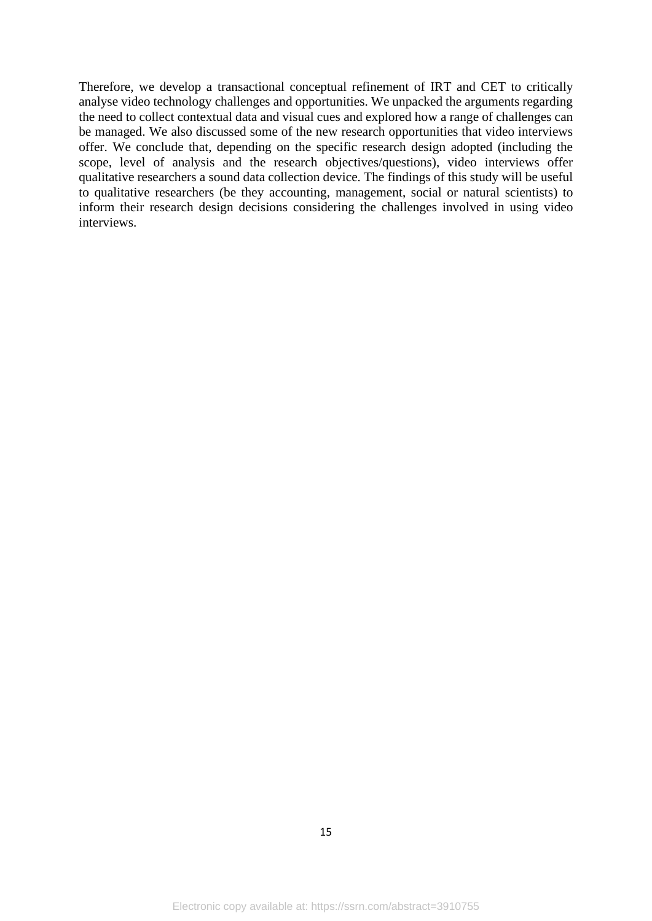Therefore, we develop a transactional conceptual refinement of IRT and CET to critically analyse video technology challenges and opportunities. We unpacked the arguments regarding the need to collect contextual data and visual cues and explored how a range of challenges can be managed. We also discussed some of the new research opportunities that video interviews offer. We conclude that, depending on the specific research design adopted (including the scope, level of analysis and the research objectives/questions), video interviews offer qualitative researchers a sound data collection device. The findings of this study will be useful to qualitative researchers (be they accounting, management, social or natural scientists) to inform their research design decisions considering the challenges involved in using video interviews.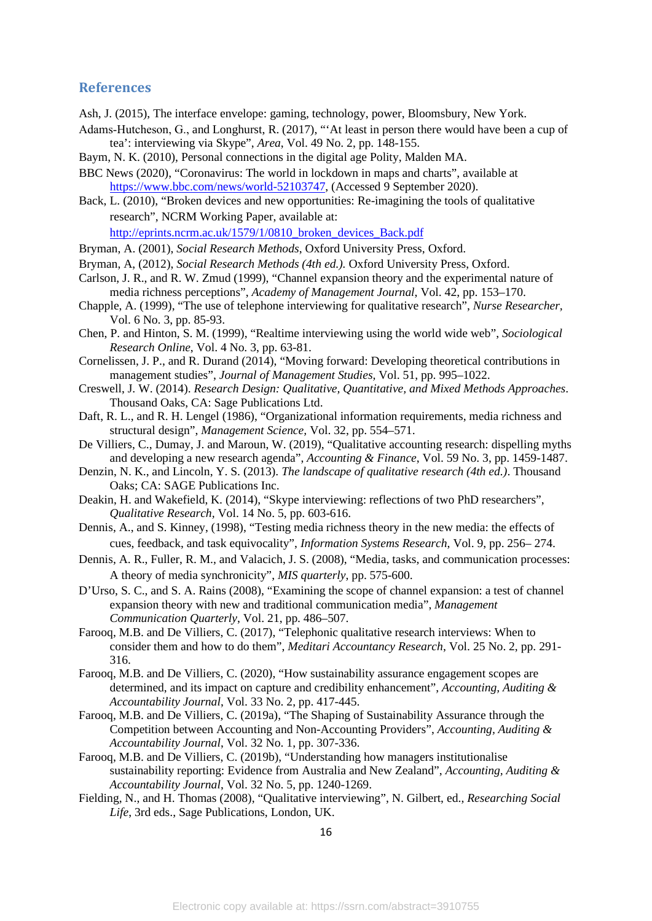#### **References**

- Ash, J. (2015), The interface envelope: gaming, technology, power, Bloomsbury, New York.
- Adams‐Hutcheson, G., and Longhurst, R. (2017), "'At least in person there would have been a cup of tea': interviewing via Skype", *Area*, Vol. 49 No. 2, pp. 148-155.
- Baym, N. K. (2010), Personal connections in the digital age Polity, Malden MA.
- BBC News (2020), "Coronavirus: The world in lockdown in maps and charts", available at [https://www.bbc.com/news/world-52103747,](https://www.bbc.com/news/world-52103747) (Accessed 9 September 2020).
- Back, L. (2010), "Broken devices and new opportunities: Re-imagining the tools of qualitative research", NCRM Working Paper, available at:

[http://eprints.ncrm.ac.uk/1579/1/0810\\_broken\\_devices\\_Back.pdf](http://eprints.ncrm.ac.uk/1579/1/0810_broken_devices_Back.pdf)

- Bryman, A. (2001), *Social Research Methods*, Oxford University Press, Oxford.
- Bryman, A, (2012), *Social Research Methods (4th ed.).* Oxford University Press, Oxford.
- Carlson, J. R., and R. W. Zmud (1999), "Channel expansion theory and the experimental nature of media richness perceptions", *Academy of Management Journal*, Vol. 42, pp. 153–170.
- Chapple, A. (1999), "The use of telephone interviewing for qualitative research", *Nurse Researcher,*  Vol. 6 No. 3, pp. 85-93.
- Chen, P. and Hinton, S. M. (1999), "Realtime interviewing using the world wide web", *Sociological Research Online*, Vol. 4 No. 3, pp. 63-81.
- Cornelissen, J. P., and R. Durand (2014), "Moving forward: Developing theoretical contributions in management studies", *Journal of Management Studies,* Vol. 51, pp. 995–1022.
- Creswell, J. W. (2014). *Research Design: Qualitative, Quantitative, and Mixed Methods Approaches*. Thousand Oaks, CA: Sage Publications Ltd.
- Daft, R. L., and R. H. Lengel (1986), "Organizational information requirements, media richness and structural design", *Management Science,* Vol. 32, pp. 554–571.
- De Villiers, C., Dumay, J. and Maroun, W. (2019), "Qualitative accounting research: dispelling myths and developing a new research agenda", *Accounting & Finance*, Vol. 59 No. 3, pp. 1459-1487.
- Denzin, N. K., and Lincoln, Y. S. (2013). *The landscape of qualitative research (4th ed.)*. Thousand Oaks; CA: SAGE Publications Inc.
- Deakin, H. and Wakefield, K. (2014), "Skype interviewing: reflections of two PhD researchers", *Qualitative Research,* Vol. 14 No. 5, pp. 603-616.
- Dennis, A., and S. Kinney, (1998), "Testing media richness theory in the new media: the effects of cues, feedback, and task equivocality", *Information Systems Research*, Vol. 9, pp. 256– 274.
- Dennis, A. R., Fuller, R. M., and Valacich, J. S. (2008), "Media, tasks, and communication processes: A theory of media synchronicity", *MIS quarterly*, pp. 575-600.
- D'Urso, S. C., and S. A. Rains (2008), "Examining the scope of channel expansion: a test of channel expansion theory with new and traditional communication media", *Management Communication Quarterly*, Vol. 21, pp. 486–507.
- Farooq, M.B. and De Villiers, C. (2017), "Telephonic qualitative research interviews: When to consider them and how to do them", *Meditari Accountancy Research*, Vol. 25 No. 2, pp. 291- 316.
- Farooq, M.B. and De Villiers, C. (2020), "How sustainability assurance engagement scopes are determined, and its impact on capture and credibility enhancement", *Accounting, Auditing & Accountability Journal*, Vol. 33 No. 2, pp. 417-445.
- Farooq, M.B. and De Villiers, C. (2019a), "The Shaping of Sustainability Assurance through the Competition between Accounting and Non-Accounting Providers", *Accounting, Auditing & Accountability Journal*, Vol. 32 No. 1, pp. 307-336.
- Farooq, M.B. and De Villiers, C. (2019b), "Understanding how managers institutionalise sustainability reporting: Evidence from Australia and New Zealand", *Accounting, Auditing & Accountability Journal*, Vol. 32 No. 5, pp. 1240-1269.
- Fielding, N., and H. Thomas (2008), "Qualitative interviewing", N. Gilbert, ed., *Researching Social Life*, 3rd eds., Sage Publications, London, UK.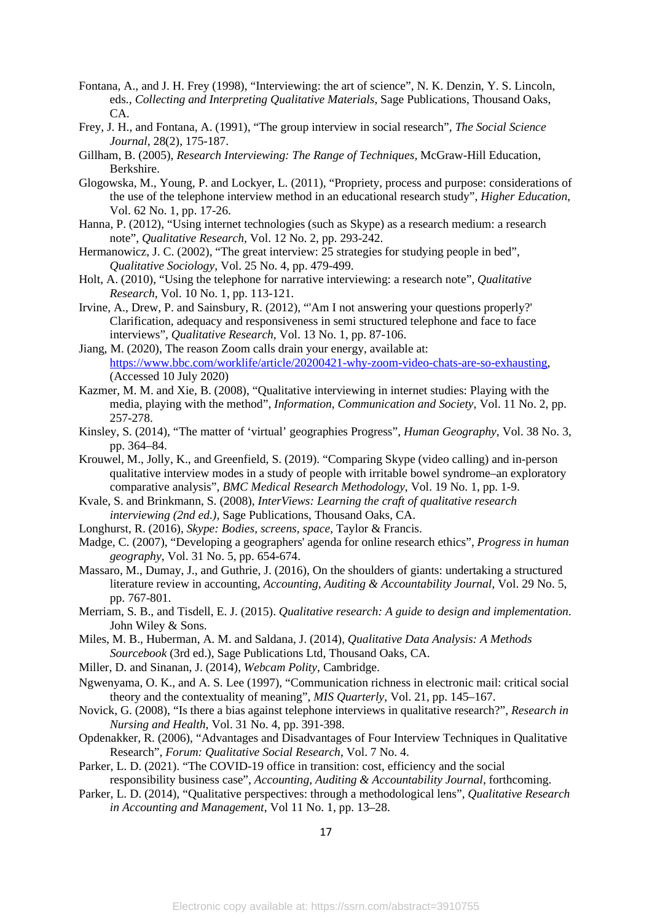- Fontana, A., and J. H. Frey (1998), "Interviewing: the art of science", N. K. Denzin, Y. S. Lincoln, eds*., Collecting and Interpreting Qualitative Materials*, Sage Publications, Thousand Oaks, CA.
- Frey, J. H., and Fontana, A. (1991), "The group interview in social research", *The Social Science Journal*, 28(2), 175-187.
- Gillham, B. (2005), *Research Interviewing: The Range of Techniques,* McGraw-Hill Education, Berkshire.
- Glogowska, M., Young, P. and Lockyer, L. (2011), "Propriety, process and purpose: considerations of the use of the telephone interview method in an educational research study", *Higher Education,*  Vol. 62 No. 1, pp. 17-26.
- Hanna, P. (2012), "Using internet technologies (such as Skype) as a research medium: a research note", *Qualitative Research,* Vol. 12 No. 2, pp. 293-242.
- Hermanowicz, J. C. (2002), "The great interview: 25 strategies for studying people in bed", *Qualitative Sociology,* Vol. 25 No. 4, pp. 479-499.
- Holt, A. (2010), "Using the telephone for narrative interviewing: a research note", *Qualitative Research,* Vol. 10 No. 1, pp. 113-121.
- Irvine, A., Drew, P. and Sainsbury, R. (2012), "'Am I not answering your questions properly?' Clarification, adequacy and responsiveness in semi structured telephone and face to face interviews", *Qualitative Research,* Vol. 13 No. 1, pp. 87-106.
- Jiang, M. (2020), The reason Zoom calls drain your energy, available at: [https://www.bbc.com/worklife/article/20200421-why-zoom-video-chats-are-so-exhausting,](https://www.bbc.com/worklife/article/20200421-why-zoom-video-chats-are-so-exhausting) (Accessed 10 July 2020)
- Kazmer, M. M. and Xie, B. (2008), "Qualitative interviewing in internet studies: Playing with the media, playing with the method", *Information, Communication and Society,* Vol. 11 No. 2, pp. 257-278.
- Kinsley, S. (2014), "The matter of 'virtual' geographies Progress", *Human Geography*, Vol. 38 No. 3, pp. 364–84.
- Krouwel, M., Jolly, K., and Greenfield, S. (2019). "Comparing Skype (video calling) and in-person qualitative interview modes in a study of people with irritable bowel syndrome–an exploratory comparative analysis", *BMC Medical Research Methodology*, Vol. 19 No. 1, pp. 1-9.
- Kvale, S. and Brinkmann, S. (2008), *InterViews: Learning the craft of qualitative research interviewing (2nd ed.),* Sage Publications, Thousand Oaks, CA.
- Longhurst, R. (2016), *Skype: Bodies, screens, space*, Taylor & Francis.
- Madge, C. (2007), "Developing a geographers' agenda for online research ethics", *Progress in human geography*, Vol. 31 No. 5, pp. 654-674.
- Massaro, M., Dumay, J., and Guthrie, J. (2016), On the shoulders of giants: undertaking a structured literature review in accounting, *Accounting, Auditing & Accountability Journal*, Vol. 29 No. 5, pp. 767-801.
- Merriam, S. B., and Tisdell, E. J. (2015). *Qualitative research: A guide to design and implementation*. John Wiley & Sons.
- Miles, M. B., Huberman, A. M. and Saldana, J. (2014), *Qualitative Data Analysis: A Methods Sourcebook* (3rd ed.), Sage Publications Ltd, Thousand Oaks, CA.
- Miller, D. and Sinanan, J. (2014), *Webcam Polity*, Cambridge.
- Ngwenyama, O. K., and A. S. Lee (1997), "Communication richness in electronic mail: critical social theory and the contextuality of meaning", *MIS Quarterly,* Vol. 21, pp. 145–167.
- Novick, G. (2008), "Is there a bias against telephone interviews in qualitative research?", *Research in Nursing and Health,* Vol. 31 No. 4, pp. 391-398.
- Opdenakker, R. (2006), "Advantages and Disadvantages of Four Interview Techniques in Qualitative Research", *Forum: Qualitative Social Research*, Vol. 7 No. 4.
- Parker, L. D. (2021). "The COVID-19 office in transition: cost, efficiency and the social responsibility business case", *Accounting, Auditing & Accountability Journal*, forthcoming.
- Parker, L. D. (2014), "Qualitative perspectives: through a methodological lens", *Qualitative Research in Accounting and Management*, Vol 11 No. 1, pp. 13–28.